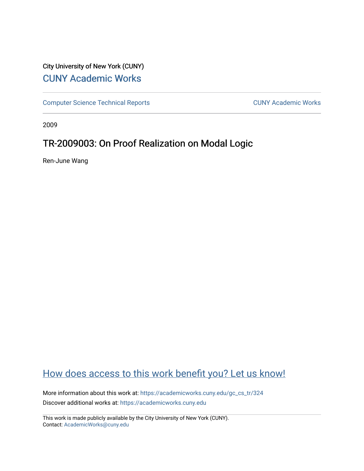# City University of New York (CUNY) [CUNY Academic Works](https://academicworks.cuny.edu/)

[Computer Science Technical Reports](https://academicworks.cuny.edu/gc_cs_tr) **CUNY Academic Works** CUNY Academic Works

2009

# TR-2009003: On Proof Realization on Modal Logic

Ren-June Wang

# [How does access to this work benefit you? Let us know!](http://ols.cuny.edu/academicworks/?ref=https://academicworks.cuny.edu/gc_cs_tr/324)

More information about this work at: [https://academicworks.cuny.edu/gc\\_cs\\_tr/324](https://academicworks.cuny.edu/gc_cs_tr/324)  Discover additional works at: [https://academicworks.cuny.edu](https://academicworks.cuny.edu/?)

This work is made publicly available by the City University of New York (CUNY). Contact: [AcademicWorks@cuny.edu](mailto:AcademicWorks@cuny.edu)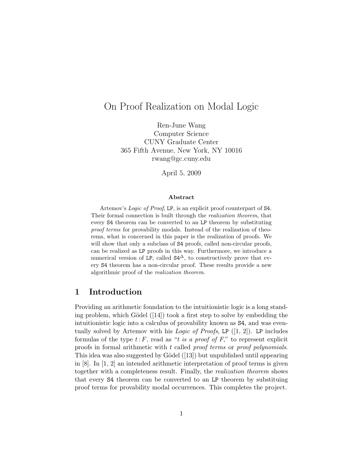# On Proof Realization on Modal Logic

Ren-June Wang Computer Science CUNY Graduate Center 365 Fifth Avenue, New York, NY 10016 rwang@gc.cuny.edu

April 5, 2009

#### Abstract

Artemov's *Logic of Proof*, LP, is an explicit proof counterpart of S4. Their formal connection is built through the *realization theorem*, that every S4 theorem can be converted to an LP theorem by substituting *proof terms* for provability modals. Instead of the realization of theorems, what is concerned in this paper is the realization of proofs. We will show that only a subclass of  $S4$  proofs, called non-circular proofs, can be realized as LP proofs in this way. Furthermore, we introduce a numerical version of LP, called  $S4^{\Delta}$ , to constructively prove that every S4 theorem has a non-circular proof. These results provide a new algorithmic proof of the *realization theorem*.

## 1 Introduction

Providing an arithmetic foundation to the intuitionistic logic is a long standing problem, which Gödel  $(14)$  took a first step to solve by embedding the intuitionistic logic into a calculus of provability known as S4, and was eventually solved by Artemov with his *Logic of Proofs*, LP ([1, 2]). LP includes formulas of the type  $t: F$ , read as "*t is a proof of*  $F$ ," to represent explicit proofs in formal arithmetic with *t* called *proof terms* or *proof polynomials*. This idea was also suggested by Gödel  $(13)$  but unpublished until appearing in [8]. In [1, 2] an intended arithmetic interpretation of proof terms is given together with a completeness result. Finally, the *realization theorem* shows that every S4 theorem can be converted to an LP theorem by substituing proof terms for provability modal occurrences. This completes the project.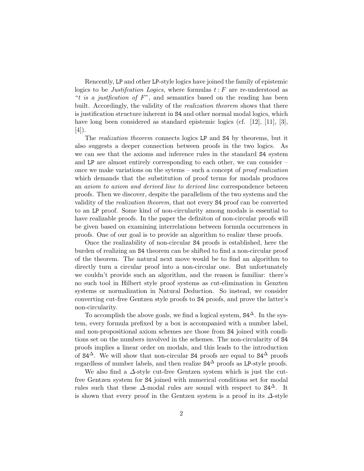Rencently, LP and other LP-style logics have joined the family of epistemic logics to be *Justifcation Logics*, where formulas *t* : *F* are re-understood as "*t is a justfication of F*", and semantics based on the reading has been built. Accordingly, the validity of the *realization theorem* shows that there is justification structure inherent in S4 and other normal modal logics, which have long been considered as standard epistemic logics (cf. [12], [11], [3], [4]).

The *realization theorem* connects logics LP and S4 by theorems, but it also suggests a deeper connection between proofs in the two logics. As we can see that the axioms and inference rules in the standard S4 system and LP are almost entirely corresponding to each other, we can consider – once we make variations on the sytems – such a concept of *proof realization* which demands that the substitution of proof terms for modals produces an *axiom to axiom and derived line to derived line* correspondence beteeen proofs. Then we discover, despite the parallelism of the two systems and the validity of the *realization theorem*, that not every S4 proof can be converted to an LP proof. Some kind of non-circularity among modals is essential to have realizable proofs. In the paper the definiton of non-circular proofs will be given based on examining interrelations between formula occurrences in proofs. One of our goal is to provide an algorithm to realize these proofs.

Once the realizability of non-circular S4 proofs is established, here the burden of realizing an S4 theorem can be shifted to find a non-circular proof of the theorem. The natural next move would be to find an algorithm to directly turn a circular proof into a non-circular one. But unfortunately we couldn't provide such an algorithm, and the reason is familiar: there's no such tool in Hilbert style proof systems as cut-elimination in Genzten systems or normalization in Natural Deduction. So instead, we consider converting cut-free Gentzen style proofs to S4 proofs, and prove the latter's non-circularity.

To accomplish the above goals, we find a logical system,  $S4^{\Delta}$ . In the system, every formula prefixed by a box is accompanied with a number label, and non-propositional axiom schemes are those from S4 joined with conditions set on the numbers involved in the schemes. The non-circularity of S4 proofs implies a linear order on modals, and this leads to the introduction of  $S4^{\Delta}$ . We will show that non-circular S4 proofs are equal to  $S4^{\Delta}$  proofs regardless of number labels, and then realize  $S4^{\Delta}$  proofs as LP-style proofs.

We also find a ∆-style cut-free Gentzen system which is just the cutfree Gentzen system for S4 joined with numerical conditions set for modal rules such that these  $\Delta$ -modal rules are sound with respect to  $S4^{\Delta}$ . It is shown that every proof in the Gentzen system is a proof in its  $\Delta$ -style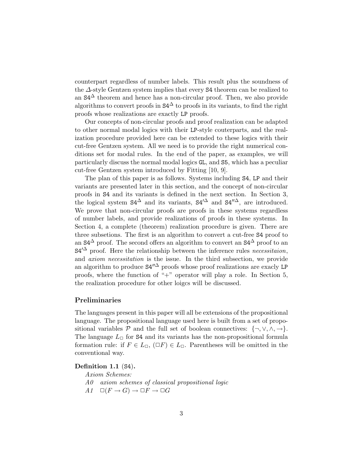counterpart regardless of number labels. This result plus the soundness of the ∆-style Gentzen system implies that every S4 theorem can be realized to an  $S4^{\Delta}$  theorem and hence has a non-circular proof. Then, we also provide algorithms to convert proofs in  $S4^{\Delta}$  to proofs in its variants, to find the right proofs whose realizations are exactly LP proofs.

Our concepts of non-circular proofs and proof realization can be adapted to other normal modal logics with their LP-style couterparts, and the realization procedure provided here can be extended to these logics with their cut-free Gentzen system. All we need is to provide the right numerical conditions set for modal rules. In the end of the paper, as examples, we will particularly discuss the normal modal logics GL, and S5, which has a peculiar cut-free Gentzen system introduced by Fitting [10, 9].

The plan of this paper is as follows. Systems including S4, LP and their variants are presented later in this section, and the concept of non-circular proofs in S4 and its variants is defined in the next section. In Section 3, the logical system  $S4^{\Delta}$  and its variants,  $S4^{\prime\Delta}$  and  $S4^{\prime\prime\Delta}$ , are introduced. We prove that non-circular proofs are proofs in these systems regardless of number labels, and provide realizations of proofs in these systems. In Section 4, a complete (theorem) realization procedure is given. There are three subsetions. The first is an algorithm to convert a cut-free S4 proof to an  $S4^{\Delta}$  proof. The second offers an algorithm to convert an  $S4^{\Delta}$  proof to an  $S4^{\prime\Delta}$  proof. Here the relationship between the inference rules *necessitaion*, and *axiom necessitation* is the issue. In the third subsection, we provide an algorithm to produce  $S4''^{\Delta}$  proofs whose proof realizations are exacly LP proofs, where the function of "+" operator will play a role. In Section 5, the realization procedure for other loigcs will be discussed.

### Preliminaries

The languages present in this paper will all be extensions of the propositional language. The propositional language used here is built from a set of propositional variables  $P$  and the full set of boolean connectives:  $\{\neg, \vee, \wedge, \rightarrow\}.$ The language  $L_{\Box}$  for **S4** and its variants has the non-propositional formula formation rule: if  $F \in L_{\Box}$ ,  $(\Box F) \in L_{\Box}$ . Parentheses will be omitted in the conventional way.

Definition 1.1 (S4).

*Axiom Schemes:*

- *A0 axiom schemes of classical propositional logic*
- $A1 \quad \Box(F \rightarrow G) \rightarrow \Box F \rightarrow \Box G$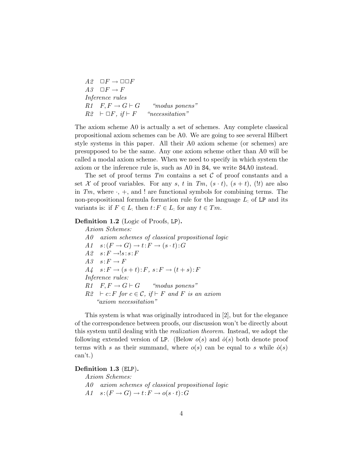$A2 \quad \Box F \rightarrow \Box \Box F$ <br>  $A3 \quad \Box F \rightarrow F$  $\Box F \to F$ *Inference rules*  $R1 \quad F, F \to G \vdash G \qquad \text{``modus ponens''}$ <br>  $R2 \vdash \Box F, \text{ if } \vdash F \qquad \text{``ncession''}$  $R2 \vdash \Box F, \textit{if} \vdash F$ 

The axiom scheme A0 is actually a set of schemes. Any complete classical propositional axiom schemes can be A0. We are going to see several Hilbert style systems in this paper. All their A0 axiom scheme (or schemes) are presupposed to be the same. Any one axiom scheme other than A0 will be called a modal axiom scheme. When we need to specify in which system the axiom or the inference rule is, such as A0 in S4, we write S4A0 instead.

The set of proof terms *Tm* contains a set *C* of proof constants and a set *X* of proof variables. For any *s*, *t* in  $Tm$ ,  $(s \cdot t)$ ,  $(s + t)$ ,  $(lt)$  are also in  $Tm$ , where  $\cdot$ ,  $+$ , and ! are functional symbols for combining terms. The non-propositional formula formation rule for the language *L*: of LP and its variants is: if  $F \in L$ : then  $t: F \in L$ : for any  $t \in Tm$ .

Definition 1.2 (Logic of Proofs, LP).

*Axiom Schemes: A0 axiom schemes of classical propositional logic*  $A1 \quad s: (F \to G) \to t: F \to (s \cdot t): G$  $A2$   $s: F \rightarrow !s: s: F$ <br>  $A3$   $s: F \rightarrow F$  $s: F \to F$  $A4$   $s: F \to (s + t): F, s: F \to (t + s): F$ *Inference rules:*  $R1 \quad F, F \rightarrow G \vdash G$  "modus ponens"  $R2 \text{ } \vdash c: F \text{ for } c \in \mathcal{C}, \text{ if } \vdash F \text{ and } F \text{ is an axiom}$ *"axiom necessitation"*

This system is what was originally introduced in [2], but for the elegance of the correspondence between proofs, our discussion won't be directly about this system until dealing with the *realization theorem*. Instead, we adopt the following extended version of LP. (Below  $o(s)$  and  $\dot{o}(s)$  both denote proof terms with *s* as their summand, where  $o(s)$  can be equal to *s* while  $o(s)$ can't.)

### Definition 1.3 (ELP).

*Axiom Schemes:*

- *A0 axiom schemes of classical propositional logic*
- $A1$   $s:(F \to G) \to t:F \to o(s \cdot t):G$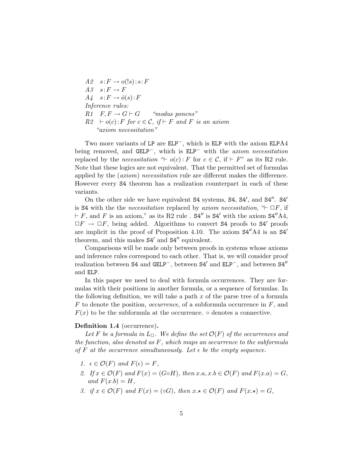$A2$   $s: F \to o(!s): s: F$ <br>  $A3$   $s: F \to F$  $s: F \to F$  $A_4$   $s: F \rightarrow \dot{o}(s): F$ *Inference rules:*  $R1 \quad F, F \rightarrow G \vdash G$  "modus ponens"  $R2 \div o(c): F$  *for*  $c \in \mathcal{C}$ *, if*  $\vdash F$  *and F is an axiom "axiom necessitation"*

Two more variants of LP are ELP−, which is ELP with the axiom ELPA4 being removed, and GELP−, which is ELP− with the *axiom necessitation* replaced by the *necessitation* " $\vdash$  *o*(*c*) : *F* for  $c \in \mathcal{C}$ , if  $\vdash F$ " as its R2 rule. Note that these logics are not equivalent. That the permitted set of formulas applied by the (*axiom*) *necessitation* rule are different makes the difference. However every S4 theorem has a realization counterpart in each of these variants.

On the other side we have equivalent S4 systems, S4, S4', and S4". S4' is **S4** with the the *necessitation* replaced by *axiom necessitation*,  $H \square F$ , if  $F$ , and *F* is an axiom," as its R2 rule .  $S4''$  is S4' with the axiom  $S4''A4$ ,  $\Box F \rightarrow \Box F$ , being added. Algorithms to convert S4 proofs to S4' proofs are implicit in the proof of Proposition 4.10. The axiom  $S4''A4$  is an  $S4''$ theorem, and this makes  $S4'$  and  $S4''$  equivalent.

Comparisons will be made only between proofs in systems whose axioms and inference rules correspond to each other. That is, we will consider proof realization between S4 and GELP<sup>−</sup>, between S4' and ELP<sup>−</sup>, and between S4" and ELP.

In this paper we need to deal with formula occurrences. They are formulas with their positions in another formula, or a sequence of formulas. In the following definition, we will take a path *x* of the parse tree of a formula *F* to denote the position, *occurrence*, of a subformula occurrence in *F*, and  $F(x)$  to be the subformula at the occurrence.  $\circ$  denotes a connective.

#### Definition 1.4 (occurrence).

*Let F be a formula in*  $L_{\square}$ *. We define the set*  $\mathcal{O}(F)$  *of the occurrences* and *the function, also denoted as F, which maps an occurrence to the subformula of*  $F$  *at the occurrence simultaneously. Let*  $\epsilon$  *be the empty sequence.* 

- *1.*  $\epsilon \in \mathcal{O}(F)$  *and*  $F(\epsilon) = F$ *,*
- *2. If*  $x \in \mathcal{O}(F)$  *and*  $F(x) = (G \circ H)$ *, then*  $x.a, x.b \in \mathcal{O}(F)$  *and*  $F(x.a) = G$ *,*  $and F(x.b) = H$ *,*
- *3. if*  $x \in \mathcal{O}(F)$  *and*  $F(x) = (\infty G)$ *, then*  $x \star \in \mathcal{O}(F)$  *and*  $F(x \star) = G$ *,*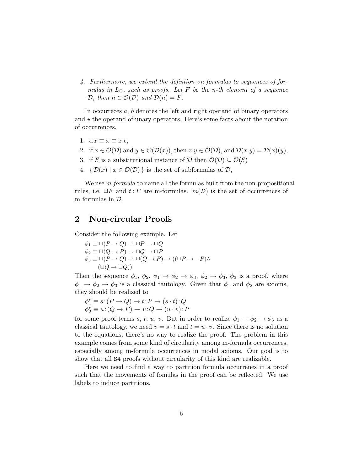*4. Furthermore, we extend the defintion on formulas to sequences of formulas* in  $L_{\Box}$ , *such* as proofs. Let F be the *n*-th element of a sequence *D, then*  $n \in \mathcal{O}(\mathcal{D})$  *and*  $\mathcal{D}(n) = F$ *.* 

In occurreces *a*, *b* denotes the left and right operand of binary operators and  $\star$  the operand of unary operators. Here's some facts about the notation of occurrences.

- 1.  $\epsilon \cdot x \equiv x \equiv x \cdot \epsilon$ ,
- 2. if  $x \in \mathcal{O}(\mathcal{D})$  and  $y \in \mathcal{O}(\mathcal{D}(x))$ , then  $x, y \in \mathcal{O}(\mathcal{D})$ , and  $\mathcal{D}(x, y) = \mathcal{D}(x)(y)$ ,
- 3. if  $\mathcal{E}$  is a substitutional instance of  $\mathcal{D}$  then  $\mathcal{O}(\mathcal{D}) \subseteq \mathcal{O}(\mathcal{E})$
- 4.  $\{ \mathcal{D}(x) \mid x \in \mathcal{O}(\mathcal{D}) \}$  is the set of subformulas of  $\mathcal{D}$ ,

We use *m-formula* to name all the formulas built from the non-propositional rules, i.e.  $\Box F$  and  $t : F$  are m-formulas.  $m(\mathcal{D})$  is the set of occurrences of m-formulas in *D*.

### 2 Non-circular Proofs

Consider the following example. Let

 $\phi_1 \equiv \Box(P \to Q) \to \Box P \to \Box Q$  $\phi_2 \equiv \Box(Q \to P) \to \Box Q \to \Box P$  $\phi_3 \equiv \Box(P \to Q) \to \Box(Q \to P) \to ((\Box P \to \Box P) \land$  $(\Box Q \rightarrow \Box Q))$ 

Then the sequence  $\phi_1$ ,  $\phi_2$ ,  $\phi_1 \rightarrow \phi_2 \rightarrow \phi_3$ ,  $\phi_2 \rightarrow \phi_3$ ,  $\phi_3$  is a proof, where  $\phi_1 \rightarrow \phi_2 \rightarrow \phi_3$  is a classical tautology. Given that  $\phi_1$  and  $\phi_2$  are axioms, they should be realized to

 $\phi_1^r \equiv s : (P \to Q) \to t : P \to (s \cdot t) : Q$  $\phi_2^r \equiv u : (Q \to P) \to v : Q \to (u \cdot v) : P$ 

for some proof terms *s*, *t*, *u*, *v*. But in order to realize  $\phi_1 \rightarrow \phi_2 \rightarrow \phi_3$  as a classical tautology, we need  $v = s \cdot t$  and  $t = u \cdot v$ . Since there is no solution to the equations, there's no way to realize the proof. The problem in this example comes from some kind of circularity among m-formula occurrences, especially among m-formula occurrences in modal axioms. Our goal is to show that all S4 proofs without circularity of this kind are realizable.

Here we need to find a way to partition formula occurrenes in a proof such that the movements of fomulas in the proof can be reflected. We use labels to induce partitions.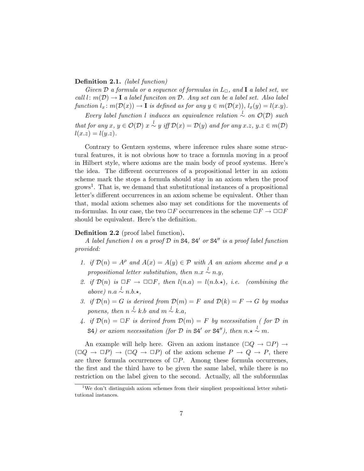#### Definition 2.1. *(label function)*

*Given*  $D$  *a formula or a sequence of formulas in*  $L_{\Box}$ *, and* **I** *a label set, we*  $call \, l : m(\mathcal{D}) \rightarrow I$  *a label funciton on*  $\mathcal{D}$ *. Any set can be a label set. Also label* function  $l_x \colon m(\mathcal{D}(x)) \to \mathbf{I}$  is defined as for any  $y \in m(\mathcal{D}(x)), l_x(y) = l(x,y)$ .

 $Every \text{ label function } l \text{ induces an equivalence relation } \overset{l}{\sim} \text{ on } \mathcal{O}(\mathcal{D}) \text{ such that } \overset{l}{\sim} \text{ and } \overset{l}{\sim} \text{ on } \mathcal{O}(\mathcal{D}) \text{ such that } \overset{l}{\sim} \text{ on } \mathcal{O}(\mathcal{D}) \text{ such that } \overset{l}{\sim} \text{ on } \mathcal{O}(\mathcal{D}) \text{ such that } \overset{l}{\sim} \text{ on } \mathcal{O}(\mathcal{D}) \text{ such that } \overset{l}{\sim} \text{ on } \mathcal{O}(\mathcal{D}) \text{ such that } \overset{l}{$ that for any  $x, y \in \mathcal{O}(\mathcal{D})$   $x \stackrel{l}{\sim} y$  iff  $\mathcal{D}(x) = \mathcal{D}(y)$  and for any  $x.z, y.z \in m(\mathcal{D})$  $l(x,z) = l(y,z)$ .

Contrary to Gentzen systems, where inference rules share some structural features, it is not obvious how to trace a formula moving in a proof in Hilbert style, where axioms are the main body of proof systems. Here's the idea. The different occurrences of a propositional letter in an axiom scheme mark the stops a formula should stay in an axiom when the proof  $\gamma$  grows<sup>1</sup>. That is, we demand that substitutional instances of a propositional letter's different occurrences in an axiom scheme be equivalent. Other than that, modal axiom schemes also may set conditions for the movements of m-formulas. In our case, the two  $\Box F$  occurrences in the scheme  $\Box F \rightarrow \Box \Box F$ should be equivalent. Here's the definition.

#### Definition 2.2 (proof label function).

*A label function l on a proof D in* S4*,* S4! *or* S4!! *is a proof label function provided:*

- *1. if*  $\mathcal{D}(n) = A^{\rho}$  *and*  $A(x) = A(y) \in \mathcal{P}$  *with A an axiom shceme and*  $\rho$  *a propositional letter substitution, then*  $n.x \sim n.y$ ,
- 2. *if*  $\mathcal{D}(n)$  *is*  $\Box F \rightarrow \Box \Box F$ *, then*  $l(n.a) = l(n.b.\star)$ *, i.e. (combining the above*) *n.a*  $\stackrel{l}{\sim}$  *n.b.*\*,
- *3. if*  $\mathcal{D}(n) = G$  *is derived from*  $\mathcal{D}(m) = F$  *and*  $\mathcal{D}(k) = F \rightarrow G$  *by modus ponens, then*  $n \sim k.b$  *and*  $m \sim k.a$ *,*
- *4. if*  $\mathcal{D}(n) = \Box F$  *is derived from*  $\mathcal{D}(m) = F$  *by necessitation (for*  $\mathcal{D}$  *in* S4*) or axiom necessitation* (for  $D$  *in* S4' *or* S4"), *then*  $n \times \sim n$ .

An example will help here. Given an axiom instance  $(\Box Q \rightarrow \Box P) \rightarrow$  $(\Box Q \rightarrow \Box P) \rightarrow (\Box Q \rightarrow \Box P)$  of the axiom scheme  $P \rightarrow Q \rightarrow P$ , there are three formula occurrences of  $\Box P$ . Among these formula occurrenes, the first and the third have to be given the same label, while there is no restriction on the label given to the second. Actually, all the subformulas

<sup>&</sup>lt;sup>1</sup>We don't distinguish axiom schemes from their simpliest propositional letter substitutional instances.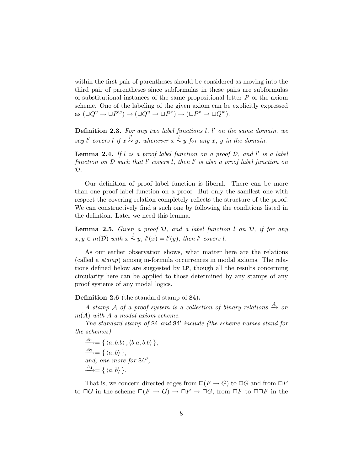within the first pair of parentheses should be considered as moving into the third pair of parentheses since subformulas in these pairs are subformulas of substitutional instances of the same propositional letter *P* of the axiom scheme. One of the labeling of the given axiom can be explicitly expressed as  $(\Box Q^v \to \Box P^w) \to (\Box Q^u \to \Box P^x) \to (\Box P^v \to \Box Q^w).$ 

Definition 2.3. *For any two label functions l, l* ! *on the same domain, we say l*' *covers l if*  $x \stackrel{l'}{\sim} y$ *, whenever*  $x \stackrel{l}{\sim} y$  *for any x, y in the domain.* 

Lemma 2.4. *If l is a proof label function on a proof D, and l* ! *is a label function on D such that l* ! *covers l, then l* ! *is also a proof label function on D.*

Our definition of proof label function is liberal. There can be more than one proof label function on a proof. But only the samllest one with respect the covering relation completely reflects the structure of the proof. We can constructively find a such one by following the conditions listed in the defintion. Later we need this lemma.

Lemma 2.5. *Given a proof D, and a label function l on D, if for any*  $x, y \in m(\mathcal{D})$  *with*  $x \stackrel{l}{\sim} y$ ,  $l'(x) = l'(y)$ , *then*  $l'$  *covers l.* 

As our earlier observation shows, what matter here are the relations (called a *stamp*) among m-formula occurrences in modal axioms. The relations defined below are suggested by LP, though all the results concerning circularity here can be applied to those determined by any stamps of any proof systems of any modal logics.

Definition 2.6 (the standard stamp of S4).

*A stamp A of a proof system is a collection of binary relations*  $\stackrel{A}{\rightarrow}$  *on m*(*A*) *with A a modal axiom scheme.*

*The standard stamp of* S4 *and* S4! *include (the scheme names stand for the schemes)*

 $\overrightarrow{A_1} = \{ \langle a, b.b \rangle, \langle b.a, b.b \rangle \},\$ and, one more for  $S4''$ ,  $\xrightarrow{A_4}$  = {  $\langle a, b \rangle$  }.

That is, we concern directed edges from  $\Box(F \to G)$  to  $\Box G$  and from  $\Box F$ to  $\Box G$  in the scheme  $\Box (F \rightarrow G) \rightarrow \Box F \rightarrow \Box G$ , from  $\Box F$  to  $\Box \Box F$  in the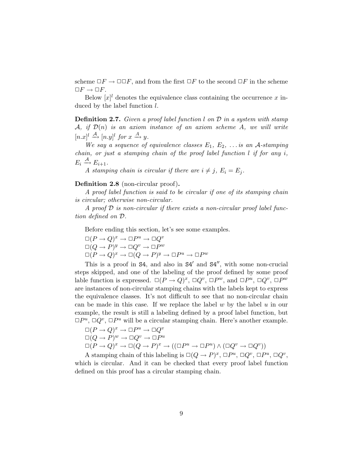scheme  $\Box F \to \Box \Box F$ , and from the first  $\Box F$  to the second  $\Box F$  in the scheme  $\Box F \rightarrow \Box F$ .

Below  $[x]^l$  denotes the equivalence class containing the occurrence x induced by the label function *l*.

Definition 2.7. *Given a proof label function l on D in a system with stamp A, if D*(*n*) *is an axiom instance of an axiom scheme A, we will write*  $[n.x]^l \stackrel{\mathcal{A}}{\longrightarrow} [n.y]^l$  *for*  $x \stackrel{A}{\longrightarrow} y$ *.* 

*We* say a sequence of equivalence classes  $E_1, E_2, \ldots$  *is* an A-stamping *chain, or just a stamping chain of the proof label function l if for any i,*  $E_i \stackrel{\mathcal{A}}{\longrightarrow} E_{i+1}.$ 

*A stamping chain is circular if there are*  $i \neq j$ ,  $E_i = E_j$ .

### Definition 2.8 (non-circular proof).

*A proof label function is said to be circular if one of its stamping chain is circular; otherwise non-circular.*

*A proof D is non-circular if there exists a non-circular proof label function defined on D.*

Before ending this section, let's see some examples.

 $\square (P \to Q)^x \to \square P^u \to \square Q^v$  $\square(Q \to P)^y \to \square Q^v \to \square P^w$  $\Box (P \to Q)^x \to \Box (Q \to P)^y \to \Box P^u \to \Box P^w$ 

This is a proof in  $S4$ , and also in  $S4'$  and  $S4''$ , with some non-crucial steps skipped, and one of the labeling of the proof defined by some proof lable function is expressed.  $\square (P \rightarrow Q)^x$ ,  $\square Q^v$ ,  $\square P^w$ , and  $\square P^u$ ,  $\square Q^v$ ,  $\square P^w$ are instances of non-circular stamping chains with the labels kept to express the equivalence classes. It's not difficult to see that no non-circular chain can be made in this case. If we replace the label *w* by the label *u* in our example, the result is still a labeling defined by a proof label function, but  $\Box P^u$ ,  $\Box Q^v$ ,  $\Box P^u$  will be a circular stamping chain. Here's another example.

$$
\Box (P \to Q)^x \to \Box P^u \to \Box Q^v
$$
  
\n
$$
\Box (Q \to P)^w \to \Box Q^v \to \Box P^u
$$
  
\n
$$
\Box (P \to Q)^x \to \Box (Q \to P)^x \to ((\Box P^u \to \Box P^u) \land (\Box Q^v \to \Box Q^v))
$$

A stamping chain of this labeling is  $\square (Q \rightarrow P)^x$ ,  $\square P^u$ ,  $\square Q^v$ ,  $\square P^u$ ,  $\square Q^v$ , which is circular. And it can be checked that every proof label function defined on this proof has a circular stamping chain.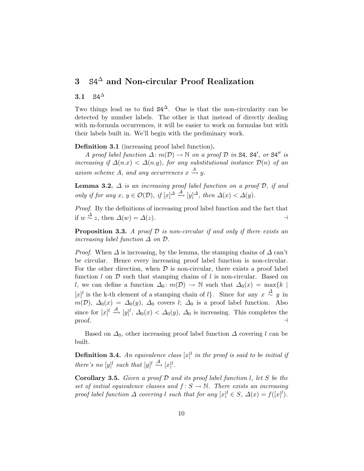# 3  $S4^{\triangle}$  and Non-circular Proof Realization

# 3.1  $S4^{\Delta}$

Two things lead us to find  $S4^{\Delta}$ . One is that the non-circularity can be detected by number labels. The other is that instead of directly dealing with m-formula occurrences, it will be easier to work on formulas but with their labels built in. We'll begin with the preliminary work.

Definition 3.1 (increasing proof label function).

*A proof label function*  $\Delta$ :  $m(D) \rightarrow \mathbb{N}$  *on a proof*  $D$  *in* S4, S4', *or* S4" *is increasing if*  $\Delta(n.x) < \Delta(n.y)$ *, for any substitutional instance*  $\mathcal{D}(n)$  *of an*  $\alpha$ *axiom scheme A*, and any *occurrences*  $x \xrightarrow{A} y$ .

**Lemma 3.2.**  $\Delta$  *is an increasing proof label function on a proof*  $D$ *, if and only if for any*  $x, y \in \mathcal{O}(\mathcal{D})$ *, if*  $[x]^{\Delta} \stackrel{\mathcal{A}}{\rightarrow} [y]^{\Delta}$ *, then*  $\Delta(x) < \Delta(y)$ *.* 

*Proof.* By the definitions of increasing proof label function and the fact that if  $w \stackrel{\Delta}{\sim} z$ , then  $\Delta(w) = \Delta(z)$ .

Proposition 3.3. *A proof D is non-circular if and only if there exists an increasing label function*  $\Delta$  *on*  $\mathcal{D}$ *.* 

*Proof.* When  $\Delta$  is increasing, by the lemma, the stamping chains of  $\Delta$  can't be circular. Hence every increasing proof label function is non-circular. For the other direction, when *D* is non-circular, there exists a proof label function *l* on *D* such that stamping chains of *l* is non-circular. Based on *l*, we can define a function  $\Delta_0: m(\mathcal{D}) \to \mathbb{N}$  such that  $\Delta_0(x) = \max\{k \mid x\}$  $[x]$ <sup>*l*</sup> is the k-th element of a stamping chain of *l*}. Since for any  $x \stackrel{\Delta}{\sim} y$  in  $m(\mathcal{D})$ ,  $\Delta_0(x) = \Delta_0(y)$ ,  $\Delta_0$  covers *l*;  $\Delta_0$  is a proof label function. Also since for  $[x]^l \stackrel{\mathcal{A}}{\rightarrow} [y]^l$ ,  $\Delta_0(x) < \Delta_0(y)$ ,  $\Delta_0$  is increasing. This completes the proof.  $\Box$ 

Based on  $\Delta_0$ , other increasing proof label function  $\Delta$  covering *l* can be built.

**Definition 3.4.** An equivalence class  $[x]^l$  in the proof is said to be initial if *there's no*  $[y]^l$  *such that*  $[y]^l \stackrel{A}{\longrightarrow} [x]^l$ .

Corollary 3.5. *Given a proof D and its proof label function l, let S be the set of initial equivalence classes* and  $f: S \to \mathbb{N}$ . There *exists* an *increasing proof label function*  $\Delta$  *covering l such that for any*  $[x]$ <sup>*l*</sup>  $\in$  *S,*  $\Delta(x) = f([x]^l)$ *.*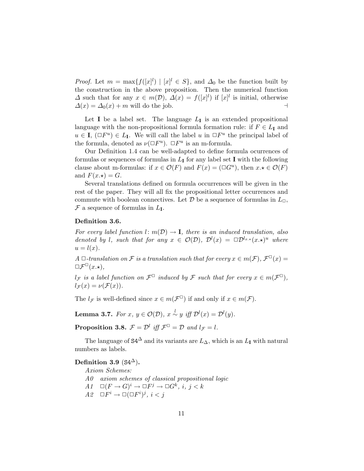*Proof.* Let  $m = \max\{f([x]^l) | [x]^l \in S\}$ , and  $\Delta_0$  be the function built by the construction in the above proposition. Then the numerical function  $\Delta$  such that for any  $x \in m(\mathcal{D})$ ,  $\Delta(x) = f([x]^l)$  if  $[x]^l$  is initial, otherwise  $\Delta(x) = \Delta_0(x) + m$  will do the job.

Let **I** be a label set. The language  $L_{\mathbf{I}}$  is an extended propositional language with the non-propositional formula formation rule: if  $F \in L<sub>I</sub>$  and  $u \in I$ ,  $(\Box F^u) \in L_I$ . We will call the label *u* in  $\Box F^u$  the principal label of the formula, denoted as  $\nu(\Box F^u)$ .  $\Box F^u$  is an m-formula.

Our Definition 1.4 can be well-adapted to define formula ocurrences of formulas or sequences of formulas in  $L_{\mathbf{I}}$  for any label set **I** with the following clause about m-formulas: if  $x \in \mathcal{O}(F)$  and  $F(x) = (\Box G^u)$ , then  $x \star \in \mathcal{O}(F)$ and  $F(x, \star) = G$ .

Several translations defined on formula occurrences will be given in the rest of the paper. They will all fix the propositional letter occurrences and commute with boolean connectives. Let  $\mathcal D$  be a sequence of formulas in  $L_{\Box}$ ,  $\mathcal F$  a sequence of formulas in  $L_{\mathbf I}$ .

#### Definition 3.6.

*For* every label function  $l: m(D) \rightarrow I$ , there is an induced translation, also *denoted by l*, *such that for any*  $x \in O(D)$ ,  $D^{l}(x) = \Box D^{l_{x,x}}(x, x)^{u}$  *where*  $u = l(x)$ .

*A*  $\Box$ -translation on *F* is a translation such that for every  $x \in m(\mathcal{F})$ ,  $\mathcal{F}^{\Box}(x) =$  $\Box \mathcal{F}^{\Box}(x.\star),$ 

*l*<sub>*F*</sub> *is a label function on*  $\mathcal{F}^{\Box}$  *induced by*  $\mathcal{F}$  *such that for every*  $x \in m(\mathcal{F}^{\Box})$ *,*  $l_{\mathcal{F}}(x) = \nu(\mathcal{F}(x)).$ 

The  $l_f$  is well-defined since  $x \in m(\mathcal{F}^{\Box})$  if and only if  $x \in m(\mathcal{F})$ .

**Lemma 3.7.** *For x*,  $y \in \mathcal{O}(\mathcal{D})$ ,  $x \stackrel{l}{\sim} y$  *iff*  $\mathcal{D}^l(x) = \mathcal{D}^l(y)$ *.* 

**Proposition 3.8.**  $\mathcal{F} = \mathcal{D}^l$  *iff*  $\mathcal{F}^{\square} = \mathcal{D}$  *and*  $l_{\mathcal{F}} = l$ *.* 

The language of  $S4^{\Delta}$  and its variants are  $L_{\Delta}$ , which is an  $L_{\mathbf{I}}$  with natural numbers as labels.

Definition 3.9 ( $S4^{\Delta}$ ).

*Axiom Schemes: A0 axiom schemes of classical propositional logic A1*  $\Box (F \rightarrow G)^i \rightarrow \Box F^j \rightarrow \Box G^k, i, j < k$ *A2*  $\Box F^i \rightarrow \Box (\Box F^i)^j, i < j$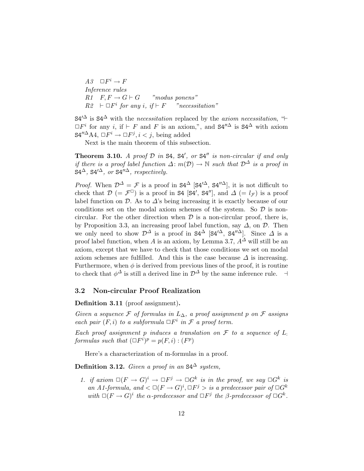$A3 \quad \Box F^i \rightarrow F$ *Inference rules*  $R1 \quad F, F \rightarrow G \vdash G \quad \text{"modus ponens"}$  $R2 \vdash \Box F^i$  *for any i*, *if*  $\models F$  *"necessitation"* 

 $S4^{\prime\Delta}$  is  $S4^{\Delta}$  with the *necessitation* replaced by the *axiom necessitation*, " $\vdash$  $\Box F^i$  for any *i*, if  $\vdash F$  and *F* is an axiom,", and  $S4''^{\Delta}$  is  $S4^{\Delta}$  with axiom  $S4''^{\Delta}AA$ ,  $\Box F^i \rightarrow \Box F^j$ ,  $i < j$ , being added

Next is the main theorem of this subsection.

**Theorem 3.10.** A proof  $D$  in  $S4$ ,  $S4'$ , or  $S4''$  is non-circular if and only *if* there is a proof label function  $\Delta$ :  $m(\mathcal{D}) \rightarrow \mathbb{N}$  *such that*  $\mathcal{D}^{\Delta}$  *is a proof in*  $S4^{\Delta}$ ,  $S4'^{\Delta}$ , *or*  $S4''^{\Delta}$ , *respectively.* 

*Proof.* When  $\mathcal{D}^{\Delta} = \mathcal{F}$  is a proof in  $S4^{\Delta}$  [S4'<sup> $\Delta$ </sup>, S4"<sup> $\Delta$ </sup>], it is not difficult to check that  $\mathcal{D}$  (=  $\mathcal{F}^{\square}$ ) is a proof in **S4** [**S4'**, **S4''**], and  $\Delta$  (=  $l_{\mathcal{F}}$ ) is a proof label function on  $\mathcal{D}$ . As to  $\Delta$ 's being increasing it is exactly because of our conditions set on the modal axiom schemes of the system. So *D* is noncircular. For the other direction when  $D$  is a non-circular proof, there is, by Proposition 3.3, an increasing proof label function, say ∆, on *D*. Then we only need to show  $\mathcal{D}^{\Delta}$  is a proof in  $S4^{\Delta}$  [S4<sup>' $\Delta$ </sup>, S4<sup>'' $\Delta$ </sup>]. Since  $\Delta$  is a proof label function, when *A* is an axiom, by Lemma 3.7,  $A^{\Delta}$  will still be an axiom, except that we have to check that those conditions we set on modal axiom schemes are fulfilled. And this is the case because  $\Delta$  is increasing. Furthermore, when  $\phi$  is derived from previous lines of the proof, it is routine to check that  $\phi^{\Delta}$  is still a derived line in  $\mathcal{D}^{\Delta}$  by the same inference rule.  $\Box$ 

### 3.2 Non-circular Proof Realization

Definition 3.11 (proof assignment).

*Given a sequence*  $F$  *of formulas in*  $L_{\Delta}$ *, a proof assignment p on*  $F$  *assigns each pair*  $(F, i)$  *to a subformula*  $\Box F^i$  *in*  $\mathcal F$  *a proof term.* 

*Each proof assignment p induces a translation on*  $\mathcal F$  *to a sequence of*  $L$ . *formulas such that*  $(\Box F^i)^p = p(F, i) : (F^p)$ 

Here's a characterization of m-formulas in a proof.

Definition 3.12. *Given a proof in an*  $S4^{\Delta}$  *system,* 

*1. if*  $\arcsin \Box(F \rightarrow G)^i \rightarrow \Box F^j \rightarrow \Box G^k$  *is in the proof, we say*  $\Box G^k$  *is an A1*-formula, and  $\lt \Box (F \rightarrow G)^i, \Box F^j >$  *is a predecessor pair of*  $\Box G^k$ *with*  $\square(F \to G)^i$  *the*  $\alpha$ -predecessor and  $\square F^j$  *the*  $\beta$ -predecessor of  $\square G^k$ *.*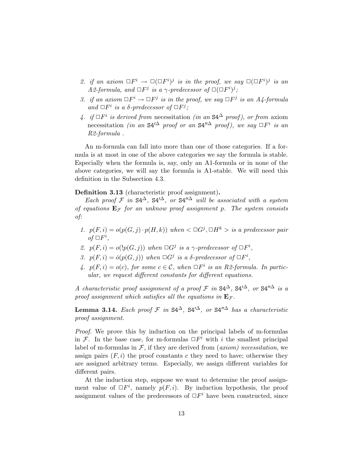- 2. *if* an axiom  $\Box F^i \rightarrow \Box (\Box F^i)^j$  *is in the proof,* we say  $\Box (\Box F^i)^j$  *is an*  $A2$ -formula, and  $\Box F^j$  is a  $\gamma$ -predecessor of  $\Box (\Box F^i)^j$ ;
- *3. if* an axiom  $\Box F^i \rightarrow \Box F^j$  *is in the proof,* we say  $\Box F^j$  *is* an A4-formula *and*  $\Box F^i$  *is a*  $\delta$ -predecessor of  $\Box F^j$ ;
- *4. if*  $□F^i$  *is derived from* necessitation *(in an* S4<sup>∆</sup> *proof)*, *or from* axiom necessitation *(in an*  $S4'^{\Delta}$  *proof or an*  $S4''^{\Delta}$  *proof), we say*  $\Box F^i$  *is an R2-formula .*

An m-formula can fall into more than one of those categories. If a formula is at most in one of the above categories we say the formula is stable. Especially when the formula is, say, only an A1-formula or in none of the above categories, we will say the formula is A1-stable. We will need this definition in the Subsection 4.3.

Definition 3.13 (characteristic proof assignment).

*Each proof*  $\mathcal{F}$  *in*  $S4^{\Delta}$ ,  $S4'^{\Delta}$ *, or*  $S4''^{\Delta}$  *will be associated with a system of equations*  $E_F$  *for an unknow proof assignment p. The system consists of:*

- 1.  $p(F, i) = o(p(G, j) \cdot p(H, k))$  when  $\langle \Box G^j, \Box H^k \rangle$  is a predecessor pair  $of \Box F^i$ ,
- 2.  $p(F, i) = o(\frac{p(G, j))}{p(G, j)}$  *when*  $\Box G^j$  *is a*  $\gamma$ -predecessor of  $\Box F^i$ ,
- *3.*  $p(F, i) = o(p(G, j))$  when  $\Box G^j$  is a  $\delta$ -predecessor of  $\Box F^i$ ,
- *4.*  $p(F, i) = o(c)$ , for some  $c \in \mathcal{C}$ , when  $\Box F^i$  is an R2-formula. In partic*ular, we request di*ff*erent constants for di*ff*erent equations.*

*A characteristic proof assignment of a proof*  $\mathcal{F}$  *in*  $S4^{\Delta}$ ,  $S4'^{\Delta}$ , *or*  $S4''^{\Delta}$  *is a proof assignment which satisfies all the equations in*  $\mathbf{E}_{\mathcal{F}}$ *.* 

Lemma 3.14. *Each proof <sup>F</sup> in* S4∆*,* S4!∆*, or* S4!!<sup>∆</sup> *has <sup>a</sup> characteristic proof assignment.*

*Proof.* We prove this by induction on the principal labels of m-formulas in *F*. In the base case, for m-formulas  $\Box F^i$  with *i* the smallest principal label of m-formulas in  $\mathcal{F}$ , if they are derived from  $(axiom)$  *necessitation*, we assign pairs  $(F, i)$  the proof constants c they need to have; otherwise they are assigned arbitrary terms. Especially, we assign different variables for different pairs.

At the induction step, suppose we want to determine the proof assignment value of  $\Box F^i$ , namely  $p(F, i)$ . By induction hypothesis, the proof assignment values of the predecessors of  $\Box F^i$  have been constructed, since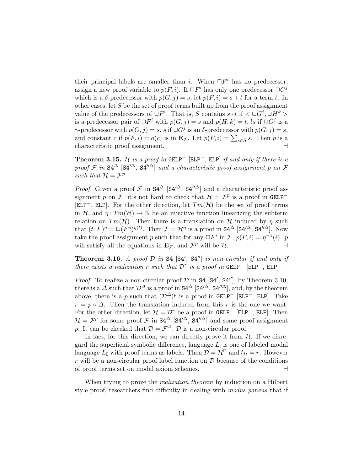their principal labels are smaller than *i*. When  $\Box F^i$  has no predecessor, assign a new proof variable to  $p(F, i)$ . If  $\Box F^i$  has only one predecessor  $\Box G^j$ which is a  $\delta$ -predecessor with  $p(G, j) = s$ , let  $p(F, i) = s + t$  for a term *t*. In other cases, let *S* be the set of proof terms built up from the proof assignment value of the predecessors of  $\Box F^i$ . That is, *S* contains  $s \cdot t$  if  $\angle \Box G^j$ ,  $\Box H^k$ is a predecessor pair of  $\Box F^i$  with  $p(G, j) = s$  and  $p(H, k) = t$ , 's if  $\Box G^j$  is a  $γ$ -predecessor with  $p(G, j) = s$ ,  $s$  if  $\Box G^j$  is an δ-predecessor with  $p(G, j) = s$ , and constant *c* if  $p(F, i) = o(c)$  is in  $\mathbf{E}_{\mathcal{F}}$ . Let  $p(F, i) = \sum_{s \in S} s$ . Then *p* is a characteristic proof assignment. .

**Theorem 3.15.** *H is a proof in* GELP<sup> $-$ </sup> [ELP<sup> $-$ </sup>, ELP] *if* and only *if* there *is a proof*  $\mathcal F$  *in*  $S4^{\Delta}$   $[S4'^{\Delta}, S4''^{\Delta}]$  *and a characteristic proof assignment p on*  $\mathcal F$ *such that*  $\mathcal{H} = \mathcal{F}^p$ *.* 

*Proof.* Given a proof  $\mathcal F$  in  $S4^{\Delta}$  [S4'<sup> $\Delta$ </sup>, S4"<sup> $\Delta$ </sup>] and a characteristic proof assignment *p* on *F*, it's not hard to check that  $H = \mathcal{F}^p$  is a proof in GELP<sup>−</sup> [ELP−, ELP]. For the other direction, let *Tm*(*H*) be the set of proof terms in *H*, and  $\eta: Tm(\mathcal{H}) \to \mathbb{N}$  be an injective function linearizing the subterm relation on  $Tm(\mathcal{H})$ . Then there is a translation on  $\mathcal H$  induced by  $\eta$  such that  $(t: F)^{\eta} = \Box(F^{\eta})^{\eta(t)}$ . Then  $\mathcal{F} = \mathcal{H}^{\eta}$  is a proof in S4<sup> $\Delta$ </sup> [S4'<sup> $\Delta$ </sup>, S4''<sup> $\Delta$ </sup>]. Now take the proof assignment *p* such that for any  $\Box F^i$  in  $\mathcal{F}, p(F, i) = \eta^{-1}(i)$ . *p* will satisfy all the equations in  $\mathbf{E}_{\mathcal{F}}$ , and  $\mathcal{F}^p$  will be  $\mathcal{H}$ .

**Theorem 3.16.** A proof  $D$  in  $S4$   $[S4', S4'']$  is non-circular if and only if *there exists* a *realization*  $r$  *such that*  $D^r$  *is* a *proof in* GELP<sup> $-$ </sup> [ELP<sup> $-$ </sup>, ELP].

*Proof.* To realize a non-circular proof  $D$  in  $S4$   $[S4', S4'']$ , by Theorem 3.10, there is a  $\Delta$  such that  $\mathcal{D}^{\Delta}$  is a proof in  $S4^{\Delta}$  [S4'<sup> $\Delta$ </sup>, S4'<sup>' $\Delta$ </sup>], and, by the theorem above, there is a *p* such that  $(D^{\Delta})^p$  is a proof in GELP<sup>-</sup> [ELP<sup>-</sup>, ELP]. Take  $r = p \circ \Delta$ . Then the translation induced from this *r* is the one we want. For the other direction, let  $\mathcal{H} = \mathcal{D}^r$  be a proof in GELP<sup>-</sup> [ELP<sup>-</sup>, ELP]. Then  $\mathcal{H} = \mathcal{F}^p$  for some proof  $\mathcal{F}$  in S4<sup> $\Delta$ </sup> [S4<sup>' $\Delta$ </sup>, S4<sup>'' $\Delta$ </sup>] and some proof assignment *p*. It can be checked that  $\mathcal{D} = \mathcal{F}^{\Box}$ . *D* is a non-circular proof.

In fact, for this direction, we can directly prove it from  $H$ . If we disregard the superficial symbolic difference, language *L*: is one of labeled modal language  $L_I$  with proof terms as labels. Then  $\mathcal{D} = \mathcal{H}^{\Box}$  and  $l_{\mathcal{H}} = r$ . However *r* will be a non-circular proof label function on  $D$  because of the conditions of proof terms set on modal axiom schemes of proof terms set on modal axiom schemes. .

When trying to prove the *realization theorem* by induction on a Hilbert style proof, researchers find difficulty in dealing with *modus ponens* that if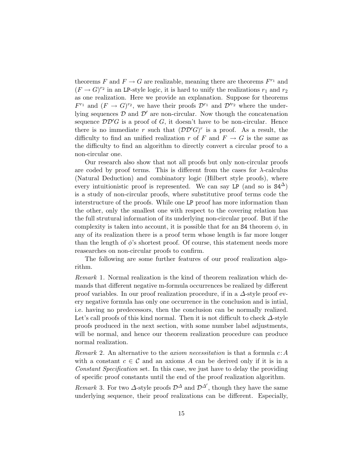theorems  $F$  and  $F \to G$  are realizable, meaning there are theorems  $F^{r_1}$  and  $(F \to G)^{r_2}$  in an LP-style logic, it is hard to unify the realizations  $r_1$  and  $r_2$ as one realization. Here we provide an explanation. Suppose for theorems  $F^{r_1}$  and  $(F \to G)^{r_2}$ , we have their proofs  $\mathcal{D}^{r_1}$  and  $\mathcal{D}^{\prime r_2}$  where the underlying sequences  $D$  and  $D'$  are non-circular. Now though the concatenation sequence  $\mathcal{D}\mathcal{D}'G$  is a proof of *G*, it doesn't have to be non-circular. Hence there is no immediate *r* such that  $(\mathcal{DD}'G)^r$  is a proof. As a result, the difficulty to find an unified realization *r* of *F* and  $F \to G$  is the same as the difficulty to find an algorithm to directly convert a circular proof to a non-circular one.

Our research also show that not all proofs but only non-circular proofs are coded by proof terms. This is different from the cases for  $\lambda$ -calculus (Natural Deduction) and combinatory logic (Hilbert style proofs), where every intuitionistic proof is represented. We can say LP (and so is  $S4^{\Delta}$ ) is a study of non-circular proofs, where substitutive proof terms code the interstructure of the proofs. While one LP proof has more information than the other, only the smallest one with respect to the covering relation has the full strutural information of its underlying non-circular proof. But if the complexity is taken into account, it is possible that for an  $\mathsf{S}4$  theorem  $\phi$ , in any of its realization there is a proof term whose length is far more longer than the length of  $\phi$ 's shortest proof. Of course, this statement needs more reasearches on non-circular proofs to confirm.

The following are some further features of our proof realization algorithm.

*Remark* 1*.* Normal realization is the kind of theorem realization which demands that different negative m-formula occurrences be realized by different proof variables. In our proof realization procedure, if in a ∆-style proof every negative formula has only one occurrence in the conclusion and is intial, i.e. having no predecessors, then the conclusion can be normally realized. Let's call proofs of this kind normal. Then it is not difficult to check  $\Delta$ -style proofs produced in the next section, with some number label adjustments, will be normal, and hence our theorem realization procedure can produce normal realization.

*Remark* 2*.* An alternative to the *axiom necessitation* is that a formula *c* :*A* with a constant  $c \in \mathcal{C}$  and an axioms A can be derived only if it is in a *Constant Specification* set. In this case, we just have to delay the providing of specific proof constants until the end of the proof realization algorithm.

*Remark* 3. For two  $\Delta$ -style proofs  $\mathcal{D}^{\Delta}$  and  $\mathcal{D}^{\Delta'}$ , though they have the same underlying sequence, their proof realizations can be different. Especially,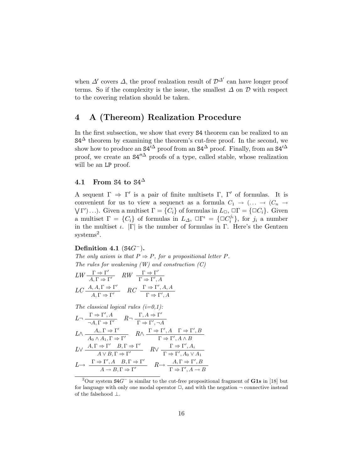when  $\Delta'$  covers  $\Delta$ , the proof realzation result of  $\mathcal{D}^{\Delta'}$  can have longer proof terms. So if the complexity is the issue, the smallest  $\Delta$  on  $\mathcal D$  with respect to the covering relation should be taken.

## 4 A (Thereom) Realization Procedure

In the first subsection, we show that every S4 theorem can be realized to an  $S4^{\Delta}$  theorem by examining the theorem's cut-free proof. In the second, we show how to produce an  $S4^{\prime\Delta}$  proof from an  $S4^{\Delta}$  proof. Finally, from an  $S4^{\prime\Delta}$ proof, we create an  $S4''^{\Delta}$  proofs of a type, called stable, whose realization will be an LP proof.

### 4.1 From S4 to  $S4^{\Delta}$

A sequent  $\Gamma \Rightarrow \Gamma'$  is a pair of finite multisets  $\Gamma$ ,  $\Gamma'$  of formulas. It is convenient for us to view a sequenct as a formula  $C_1 \rightarrow (\ldots \rightarrow (C_n \rightarrow C_n))$ convenient for us to view a sequenct as a formula  $C_1 \to (\ldots \to (C_n \to \nabla \Gamma')\ldots)$ . Given a multiset  $\Gamma = \{C_i\}$  of formulas in  $L_{\Box}$ ,  $\square \Gamma = \{\Box C_i\}$ . Given a multiset  $\Gamma = \{C_i\}$  of formulas in  $L_{\Delta}$ ,  $\Box \Gamma^{\iota} = \{\Box C_i^{j_i}\}\$ , for  $j_i$  a number in the multiset  $\iota$ .  $|\Gamma|$  is the number of formulas in  $\Gamma$ . Here's the Gentzen systems<sup>2</sup>.

### Definition 4.1 (S4*G*−).

*The only axiom is that*  $P \Rightarrow P$ *, for a propositional letter*  $P$ *. The rules for weakening (W) and constraction (C)*

$$
LW \frac{\Gamma \Rightarrow \Gamma'}{A, \Gamma \Rightarrow \Gamma'} \quad RW \frac{\Gamma \Rightarrow \Gamma'}{\Gamma \Rightarrow \Gamma', A}
$$

$$
LC \frac{A, A, \Gamma \Rightarrow \Gamma'}{A, \Gamma \Rightarrow \Gamma'} \quad RC \frac{\Gamma \Rightarrow \Gamma', A, A}{\Gamma \Rightarrow \Gamma', A}
$$

*The classical logical rules*  $(i=0,1)$ :

$$
L \neg \frac{\Gamma \Rightarrow \Gamma', A}{\neg A, \Gamma \Rightarrow \Gamma'} \quad R \neg \frac{\Gamma, A \Rightarrow \Gamma'}{\Gamma \Rightarrow \Gamma', \neg A}
$$
  
\n
$$
L \land \frac{A_i, \Gamma \Rightarrow \Gamma'}{A_0 \land A_1, \Gamma \Rightarrow \Gamma'} \quad R \land \frac{\Gamma \Rightarrow \Gamma', A \quad \Gamma \Rightarrow \Gamma', B}{\Gamma \Rightarrow \Gamma', A \land B}
$$
  
\n
$$
L \lor \frac{A, \Gamma \Rightarrow \Gamma' \quad B, \Gamma \Rightarrow \Gamma'}{A \lor B, \Gamma \Rightarrow \Gamma'} \quad R \lor \frac{\Gamma \Rightarrow \Gamma', A_i}{\Gamma \Rightarrow \Gamma', A_0 \lor A_1}
$$
  
\n
$$
L \rightarrow \frac{\Gamma \Rightarrow \Gamma', A \quad B, \Gamma \Rightarrow \Gamma'}{A \rightarrow B, \Gamma \Rightarrow \Gamma'} \quad R \rightarrow \frac{A, \Gamma \Rightarrow \Gamma', B}{\Gamma \Rightarrow \Gamma', A \rightarrow B}
$$

<sup>&</sup>lt;sup>2</sup>Our system  $S4G^-$  is similar to the cut-free propositional fragment of G1s in [18] but for language with only one modal operator  $\Box$ , and with the negation  $\neg$  connective instead of the falsehood ⊥.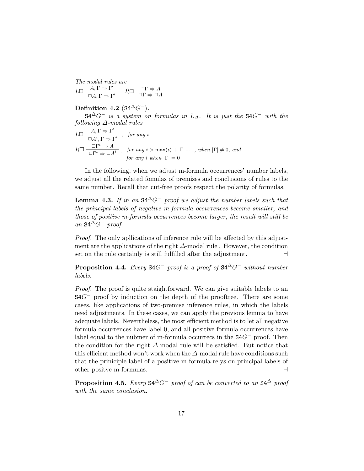*The modal rules are*  $L \Box \frac{A, \Gamma \Rightarrow \Gamma'}{\Box A, \Gamma \Rightarrow \Gamma'}$   $R \Box \frac{\Box \Gamma \Rightarrow A}{\Box \Gamma \Rightarrow \Box A}$ 

Definition 4.2 ( $S4^{\Delta}G^-$ ).

 $S4^{\Delta}G^-$  *is a system on formulas in*  $L_{\Delta}$ . It *is just the*  $S4G^-$  *with the following* ∆*-modal rules*

$$
L \Box \frac{A, \Gamma \Rightarrow \Gamma'}{\Box A^i, \Gamma \Rightarrow \Gamma'}
$$
, for any  $i$   

$$
R \Box \frac{\Box \Gamma^i \Rightarrow A}{\Box \Gamma^i \Rightarrow \Box A^i}
$$
, for any  $i > \max(\iota) + |\Gamma| + 1$ , when  $|\Gamma| \neq 0$ , and  
for any  $i$  when  $|\Gamma| = 0$ 

In the following, when we adjust m-formula occurrences' number labels, we adjust all the related fomulas of premises and conclusions of rules to the same number. Recall that cut-free proofs respect the polarity of formulas.

**Lemma 4.3.** If in an  $S4^{\Delta}G^-$  proof we adjust the number labels such that *the principal labels of negative m-formula occurrences become smaller, and those of positive m-formula occurrences become larger, the result will still be*  $an$  S4<sup>∆</sup> $G^-$  *proof.* 

*Proof.* The only apllications of inference rule will be affected by this adjustment are the applications of the right  $\Delta$ -modal rule. However, the condition set on the rule certainly is still fulfilled after the adjustment.  $\Box$ 

**Proposition 4.4.** *Every*  $S4G^-$  *proof is a proof of*  $S4^{\Delta}G^-$  *without number labels.*

*Proof.* The proof is quite staightforward. We can give suitable labels to an S4*G*<sup>−</sup> proof by induction on the depth of the prooftree. There are some cases, like applications of two-premise inference rules, in which the labels need adjustments. In these cases, we can apply the previous lemma to have adequate labels. Nevertheless, the most efficient method is to let all negative formula occurrences have label 0, and all positive formula occurrences have label equal to the nubmer of m-formula occurrecs in the S4*G*<sup>−</sup> proof. Then the condition for the right  $\Delta$ -modal rule will be satisfied. But notice that this efficient method won't work when the  $\Delta$ -modal rule have conditions such that the priniciple label of a positive m-formula relys on principal labels of other positve m-formulas. .

**Proposition 4.5.** *Every*  $S4^{\Delta}G^-$  *proof of can be converted to an*  $S4^{\Delta}$  *proof with the same conclusion.*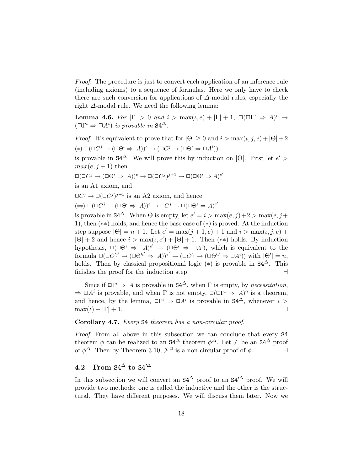*Proof.* The procedure is just to convert each application of an inference rule (including axioms) to a sequence of formulas. Here we only have to check there are such conversion for applications of  $\Delta$ -modal rules, especially the right ∆-modal rule. We need the following lemma:

**Lemma 4.6.** For  $|\Gamma| > 0$  and  $i > \max(i, e) + |\Gamma| + 1$ ,  $\Box(\Box \Gamma^i \Rightarrow A)^e \rightarrow$  $(\Box \Gamma^{\iota} \Rightarrow \Box A^i)$  *is provable in* S4<sup> $\Delta$ </sup>.

*Proof.* It's equivalent to prove that for  $|\Theta| \ge 0$  and  $i > \max(i, j, e) + |\Theta| + 2$  $(*) \Box(\Box C^j \rightarrow (\Box \Theta^i \Rightarrow A))^e \rightarrow (\Box C^j \rightarrow (\Box \Theta^i \Rightarrow \Box A^i))$ 

is provable in  $S4^{\Delta}$ . We will prove this by induction on  $|\Theta|$ . First let  $e'$  $max(e, j + 1)$  then

$$
\Box(\Box C^j \to (\Box \Theta^i \Rightarrow A))^e \to \Box(\Box C^j)^{j+1} \to \Box(\Box \Theta^i \Rightarrow A)^{e'}
$$

is an A1 axiom, and

 $\Box C^j \rightarrow \Box (\Box C^j)^{j+1}$  is an A2 axiom, and hence

 $(\ast \ast) \Box(\Box C^j \rightarrow (\Box \Theta^i \Rightarrow A))^e \rightarrow \Box C^j \rightarrow \Box (\Box \Theta^i \Rightarrow A)^{e'}$ 

is provable in  $S4^{\Delta}$ . When  $\Theta$  is empty, let  $e' = i > \max(e, j) + 2 > \max(e, j + 1)$ 1), then (∗∗) holds, and hence the base case of (∗) is proved. At the induction step suppose  $|\Theta| = n + 1$ . Let  $e' = \max(j + 1, e) + 1$  and  $i > \max(i, j, e) + 1$  $|\Theta| + 2$  and hence  $i > \max(i, e') + |\Theta| + 1$ . Then (\*\*) holds. By induction hypothesis,  $\square(\square\Theta^{\iota} \Rightarrow A)^{e'} \rightarrow (\square\Theta^{\iota} \Rightarrow \square A^{\iota})$ , which is equivalent to the  $\text{formula } \Box(\Box C'^{j'} \rightarrow (\Box \Theta'^{i'} \Rightarrow A))^{e'} \rightarrow (\Box C'^{j} \rightarrow (\Box \Theta'^{i'} \Rightarrow \Box A^{i})) \text{ with } |\Theta'| = n,$ holds. Then by classical propositional logic  $(*)$  is provable in  $S4^{\Delta}$ . This finishes the proof for the induction step. .

Since if  $\Box \Gamma' \Rightarrow A$  is provable in  $S4^{\Delta}$ , when  $\Gamma$  is empty, by *necessitation*,  $\Rightarrow \Box A^i$  is provable, and when  $\Gamma$  is not empty,  $\Box(\Box \Gamma^i \Rightarrow A)^0$  is a theorem, and hence, by the lemma,  $\square \Gamma^i \Rightarrow \square A^i$  is provable in  $S4^{\Delta}$ , whenever  $i > \max(i) + |\Gamma| + 1$ .  $\max(\iota) + |\Gamma| + 1.$ 

### Corollary 4.7. *Every* S4 *theorem has a non-circular proof.*

*Proof.* From all above in this subsection we can conclude that every S4 theorem  $\phi$  can be realized to an  $S4^{\Delta}$  theorem  $\phi^{\Delta}$ . Let *F* be an  $S4^{\Delta}$  proof of  $\phi^{\Delta}$ . Then by Theorem 3.10.  $\mathcal{F}^{\Box}$  is a non-circular proof of  $\phi$ . of  $\phi^{\Delta}$ . Then by Theorem 3.10,  $\mathcal{F}^{\Box}$  is a non-circular proof of  $\phi$ .

### 4.2 From  $S4^{\Delta}$  to  $S4^{\Delta}$

In this subsection we will convert an  $S4^{\Delta}$  proof to an  $S4^{\prime\Delta}$  proof. We will provide two methods: one is called the inductive and the other is the structural. They have different purposes. We will discuss them later. Now we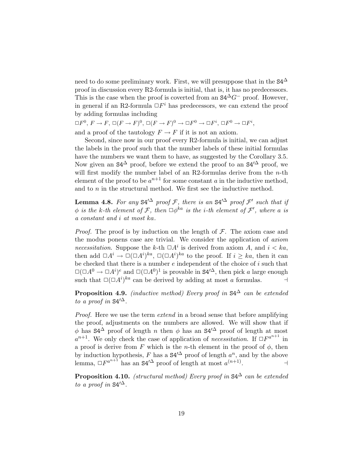need to do some preliminary work. First, we will presuppose that in the  $S4^{\Delta}$ proof in discussion every R2-formula is initial, that is, it has no predecessors. This is the case when the proof is coverted from an  $S4^{\Delta}G^-$  proof. However, in general if an R2-formula  $\Box F^i$  has predecessors, we can extend the proof by adding formulas including

 $\Box F^0$ ,  $F \to F$ ,  $\Box (F \to F)^0$ ,  $\Box (F \to F)^0 \to \Box F^0 \to \Box F^i$ ,  $\Box F^0 \to \Box F^i$ , and a proof of the tautology  $F \to F$  if it is not an axiom.

Second, since now in our proof every R2-formula is initial, we can adjust the labels in the proof such that the number labels of these initial formulas have the numbers we want them to have, as suggested by the Corollary 3.5. Now given an  $S4^{\Delta}$  proof, before we extend the proof to an  $S4^{\Delta}$  proof, we will first modify the number label of an R2-formulas derive from the *n*-th element of the proof to be  $a^{n+1}$  for some constant  $a$  in the inductive method, and to *n* in the structural method. We first see the inductive method.

**Lemma 4.8.** For any S4<sup> $\Delta$ </sup> proof *F*, there is an S4<sup> $\Delta$ </sup> proof *F*' such that if  $\phi$  *is* the *k*-th element of F, then  $\Box \phi^{ka}$  *is* the *i*-th element of F', where a *is a constant and i at most ka.*

*Proof.* The proof is by induction on the length of  $\mathcal{F}$ . The axiom case and the modus ponens case are trivial. We consider the application of *axiom necessitation*. Suppose the *k*-th  $\Box A^i$  is derived from axiom *A*, and  $i < ka$ , then add  $\Box A^i \to \Box (\Box A^i)^{ka}$ ,  $\Box (\Box A^i)^{ka}$  to the proof. If  $i \geq ka$ , then it can be checked that there is a number *e* independent of the choice of *i* such that  $\square(\square A^0 \rightarrow \square A^i)^e$  and  $\square(\square A^0)^1$  is provable in  $S4'^{\Delta}$ , then pick *a* large enough such that  $\square (\square A^i)^{ka}$  can be derived by adding at most *a* formulas.  $\Box$ 

**Proposition 4.9.** *(inductive method) Every proof in*  $S4^{\Delta}$  *can be extended to a proof in*  $S4^2$ .

*Proof.* Here we use the term *extend* in a broad sense that before amplifying the proof, adjustments on the numbers are allowed. We will show that if  $\phi$  has  $S4^{\Delta}$  proof of length *n* then  $\phi$  has an  $S4'^{\Delta}$  proof of length at most  $a^{n+1}$ . We only check the case of application of *necessitation*. If  $\Box F^{a^{n+1}}$  in a proof is derive from *F* which is the *n*-th element in the proof of  $\phi$ , then by induction hypothesis,  $F$  has a  $S4^{\prime\Delta}$  proof of length  $a^n$ , and by the above lemma,  $\Box F^{a^{n+1}}$  has an S4<sup>' $\Delta$ </sup> proof of length at most  $a^{(n+1)}$ .

**Proposition 4.10.** *(structural method) Every proof in*  $S4^{\Delta}$  *can be extended to a proof in*  $S4^{\prime \Delta}$ .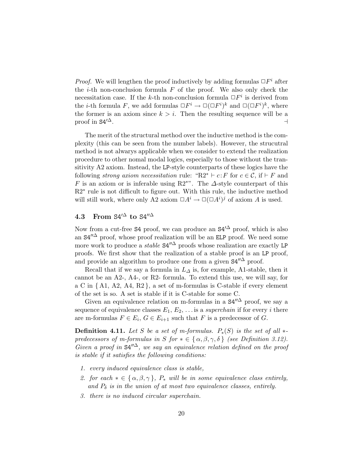*Proof.* We will lengthen the proof inductively by adding formulas  $\Box F^i$  after the  $i$ -th non-conclusion formula  $F$  of the proof. We also only check the necessitation case. If the *k*-th non-conclusion formula  $\Box F^i$  is derived from the *i*-th formula *F*, we add formulas  $\Box F^i \to \Box (\Box F^i)^k$  and  $\Box (\Box F^i)^k$ , where the former is an axiom since  $k > i$ . Then the resulting sequence will be a proof in  $S4^{\prime\Delta}$ .  $\Box$ 

The merit of the structural method over the inductive method is the complexity (this can be seen from the number labels). However, the strucutral method is not alwarys applicable when we consider to extend the realization procedure to other nomal modal logics, especially to those without the transitivity A2 axiom. Instead, the LP-style counterparts of these logics have the following *strong axiom necessitation* rule: " $R2^* \vdash c : F$  for  $c \in C$ , if  $\vdash F$  and *F* is an axiom or is inferable using R2<sup>∗"</sup>. The  $\Delta$ -style counterpart of this R2∗ rule is not difficult to figure out. With this rule, the inductive method will still work, where only A2 axiom  $\Box A^i \rightarrow \Box (\Box A^i)^j$  of axiom A is used.

### 4.3 From  $S4^{\prime\Delta}$  to  $S4^{\prime\prime\Delta}$

Now from a cut-free S4 proof, we can produce an  $S4^{\prime\Delta}$  proof, which is also an  $S4''^{\Delta}$  proof, whose proof realization will be an ELP proof. We need some more work to produce a *stable*  $S4''^{\Delta}$  proofs whose realization are exactly LP proofs. We first show that the realization of a stable proof is an LP proof, and provide an algorithm to produce one from a given  $S4''^{\Delta}$  proof.

Recall that if we say a formula in  $L_{\Delta}$  is, for example, A1-stable, then it cannot be an A2-, A4-, or R2- formula. To extend this use, we will say, for a C in *{* A1, A2, A4, R2 *}*, a set of m-formulas is C-stable if every element of the set is so. A set is stable if it is C-stable for some C.

Given an equivalence relation on m-formulas in a  $S4''^{\Delta}$  proof, we say a sequence of equivalence classes  $E_1, E_2, \ldots$  is a *superchain* if for every *i* there are m-formulas  $F \in E_i$ ,  $G \in E_{i+1}$  such that  $F$  is a predecessor of  $G$ .

**Definition 4.11.** Let *S* be a set of m-formulas.  $P_*(S)$  is the set of all  $*$ *predecessors of m-formulas in S for*  $* \in \{ \alpha, \beta, \gamma, \delta \}$  *(see Definition 3.12). Given a proof in*  $S4''^{\Delta}$ *, we say an equivalence relation defined on the proof is stable if it satisfies the following conditions:*

- *1. every induced equivalence class is stable,*
- *2. for*  $each \ast \in \{\alpha, \beta, \gamma\}$ ,  $P_*$  *will be in some equivalence class entirely,* and  $P_{\delta}$  *is in* the *union* of *at most two equivalence classes, entirely.*
- *3. there is no induced circular superchain.*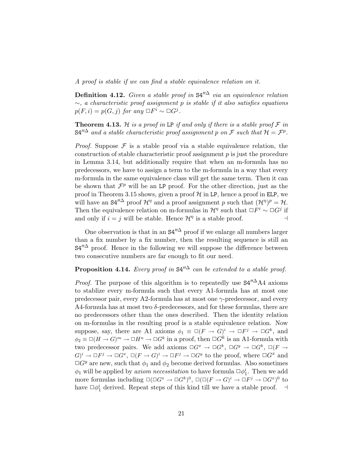*A proof is stable if we can find a stable equivalence relation on it.*

Definition 4.12. *Given a stable proof in* S4!!<sup>∆</sup> *via an equivalence relation* ∼*, a characteristic proof assignment p is stable if it also satisfies equations*  $p(F, i) = p(G, j)$  *for any*  $\Box F^i \sim \Box G^j$ .

**Theorem 4.13.** *H is a proof in* LP *if* and only *if* there *is* a *stable*  $\text{proof } \mathcal{F}$  *in*  $S4''^{\Delta}$  *and a stable characteristic proof assignment p on*  $\mathcal F$  *such that*  $\mathcal H = \mathcal F^p$ .

*Proof.* Suppose  $\mathcal F$  is a stable proof via a stable equivalence relation, the construction of stable characteristic proof assignment *p* is just the procedure in Lemma 3.14, but additionally require that when an m-formula has no predecessors, we have to assign a term to the m-formula in a way that every m-formula in the same equivalence class will get the same term. Then it can be shown that  $\mathcal{F}^p$  will be an LP proof. For the other direction, just as the proof in Theorem 3.15 shows, given a proof  $\mathcal H$  in LP, hence a proof in ELP, we will have an  $S4''^{\Delta}$  proof  $\mathcal{H}^{\eta}$  and a proof assignment p such that  $(\mathcal{H}^{\eta})^p = \mathcal{H}$ . Then the equivalence relation on m-formulas in  $\mathcal{H}^{\eta}$  such that  $\Box F^i \sim \Box G^j$  if and only if  $i = j$  will be stable. Hence  $\mathcal{H}^{\eta}$  is a stable proof.

One observation is that in an  $S4''^{\Delta}$  proof if we enlarge all numbers larger than a fix number by a fix number, then the resulting sequence is still an  $S4''^{\Delta}$  proof. Hence in the following we will suppose the difference between two consecutive numbers are far enough to fit our need.

## **Proposition 4.14.** *Every proof* in  $S4''^{\Delta}$  *can be extended to a stable proof.*

*Proof.* The purpose of this algorithm is to repeatedly use  $S4''^{\Delta}A4$  axioms to stablize every m-formula such that every A1-formula has at most one predecessor pair, every A2-formula has at most one  $\gamma$ -predecessor, and every A4-formula has at most two  $\delta$ -predecessors, and for these formulas, there are no predecessors other than the ones described. Then the identity relation on m-formulas in the resulting proof is a stable equivalence relation. Now suppose, say, there are A1 axioms  $\phi_1 \equiv \Box (F \rightarrow G)^i \rightarrow \Box F^j \rightarrow \Box G^k$ , and  $\phi_2 \equiv \Box (H \to G)^m \to \Box H^n \to \Box G^k$  in a proof, then  $\Box G^k$  is an A1-formula with two predecessor pairs. We add axioms  $\Box G^x \to \Box G^k$ ,  $\Box G^y \to \Box G^k$ ,  $\Box (F \to$  $G^{i} \to \Box F^{j} \to \Box G^{x}$ ,  $\Box (F \to G)^{i} \to \Box F^{j} \to \Box G^{y}$  to the proof, where  $\Box G^{x}$  and  $\Box G^y$  are new, such that  $\phi_1$  and  $\phi_2$  become derived formulas. Also sometimes  $\phi_1$  will be applied by *axiom necessitation* to have formula  $\Box \phi_1^i$ . Then we add more formulas including  $\square(\square G^x \to \square G^k)^0$ ,  $\square(\square (F \to G)^i \to \square F^j \to \square G^x)^0$  to have  $\Box \phi_1^i$  derived. Repeat steps of this kind till we have a stable proof.  $\Box$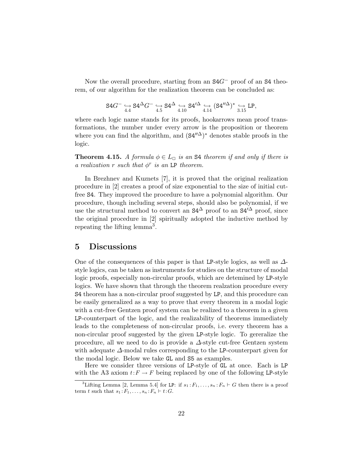Now the overall procedure, starting from an S4*G*<sup>−</sup> proof of an S4 theorem, of our algorithm for the realization theorem can be concluded as:

$$
\mathrm{S4}G^-\underset{4.4}{\hookrightarrow}\mathrm{S4}^\Delta G^-\underset{4.5}{\hookrightarrow}\mathrm{S4}^\Delta\xrightarrow[4.10]{\hookrightarrow}\mathrm{S4'}^\Delta\xrightarrow[4.14]{\hookleftarrow}(\mathrm{S4''}^\Delta)^*\underset{3.15}{\hookrightarrow}\mathrm{LP},
$$

where each logic name stands for its proofs, hookarrows mean proof transformations, the number under every arrow is the proposition or theorem where you can find the algorithm, and  $(S4''^{\Delta})^*$  denotes stable proofs in the logic.

**Theorem 4.15.** A formula  $\phi \in L_{\square}$  is an **S4** theorem if and only if there is *a* realization *r such* that  $\phi^r$  *is* an LP theorem.

In Brezhnev and Kuznets [7], it is proved that the original realization procedure in [2] creates a proof of size exponential to the size of initial cutfree S4. They improved the procedure to have a polynomial algorithm. Our procedure, though including several steps, should also be polynomial, if we use the structural method to convert an  $S4^{\Delta}$  proof to an  $S4^{\Delta}$  proof, since the original procedure in [2] spiritually adopted the inductive method by repeating the lifting lemma<sup>3</sup>.

### 5 Discussions

One of the consequences of this paper is that LP-style logics, as well as  $\Delta$ style logics, can be taken as instruments for studies on the structure of modal logic proofs, especially non-circular proofs, which are detemined by LP-style logics. We have shown that through the theorem realzation procedure every S4 theorem has a non-circular proof suggested by LP, and this procedure can be easily generalized as a way to prove that every theorem in a modal logic with a cut-free Gentzen proof system can be realized to a theorem in a given LP-counterpart of the logic, and the realizability of theorems immediately leads to the completeness of non-circular proofs, i.e. every theorem has a non-circular proof suggested by the given LP-style logic. To gereralize the procedure, all we need to do is provide a  $\Delta$ -style cut-free Gentzen system with adequate ∆-modal rules corresponding to the LP-counterpart given for the modal logic. Below we take GL and S5 as examples.

Here we consider three versions of LP-style of GL at once. Each is LP with the A3 axiom  $t: F \to F$  being replaced by one of the following LP-style

<sup>&</sup>lt;sup>3</sup>Lifting Lemma [2, Lemma 5.4] for LP: if  $s_1 : F_1, \ldots, s_n : F_n \vdash G$  then there is a proof term *t* such that  $s_1: F_1, \ldots, s_n: F_n \vdash t: G$ .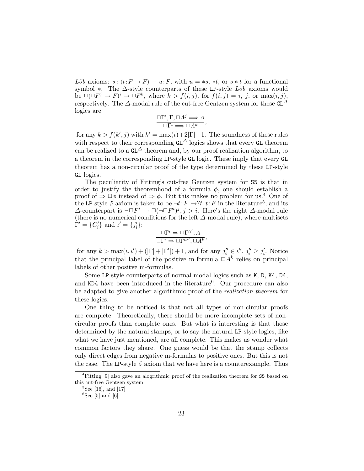*Löb* axioms:  $s:(t:F \to F) \to u:F$ , with  $u = *s$ ,  $*t$ , or  $s * t$  for a functional symbol ∗. The Δ-style counterparts of these LP-style *Löb* axioms would be  $\square(\square F^j \rightarrow F)^i \rightarrow \square F^k$ , where  $k > f(i, j)$ , for  $f(i, j) = i, j$ , or  $\max(i, j)$ , respectively. The  $\Delta$ -modal rule of the cut-free Gentzen system for these GL<sup> $\Delta$ </sup> logics are

$$
\frac{\Box \Gamma^{\iota}, \Gamma, \Box A^j \Longrightarrow A}{\Box \Gamma^{\iota} \Longrightarrow \Box A^k},
$$

for any  $k > f(k', j)$  with  $k' = \max(i) + 2|\Gamma| + 1$ . The soundness of these rules with respect to their corresponding  $GL^{\Delta}$  logics shows that every GL theorem can be realized to a  $GL^{\Delta}$  theorem and, by our proof realization algorithm, to a theorem in the corresponding LP-style GL logic. These imply that every GL theorem has a non-circular proof of the type determined by these LP-style GL logics.

The peculiarity of Fitting's cut-free Gentzen system for S5 is that in order to justify the theoremhood of a formula  $\phi$ , one should establish a proof of  $\Rightarrow \Box \phi$  instead of  $\Rightarrow \phi$ . But this makes no problem for us.<sup>4</sup> One of the LP-style 5 axiom is taken to be  $\neg t: F \rightarrow ?t:t:F$  in the literature<sup>5</sup>, and its  $\triangle$ -counterpart is  $\neg \Box F^i \rightarrow \Box (\neg \Box F^i)^j, j > i$ . Here's the right  $\triangle$ -modal rule (there is no numerical conditions for the left ∆-modal rule), where multisets  $\Gamma' = \{C'_i\}$  and  $\iota' = \{j'_i\}$ :

$$
\frac{\Box \Gamma^{\iota} \Rightarrow \Box \Gamma^{\prime \iota'}, A}{\Box \Gamma^{\iota} \Rightarrow \Box \Gamma^{\prime \iota''}, \Box A^{k}},
$$

for any  $k > \max(i, i') + (|\Gamma| + |\Gamma'|) + 1$ , and for any  $j''_i \in i'', j''_i \geq j'_i$ . Notice that the principal label of the positive m-formula  $\Box A^k$  relies on principal labels of other positve m-formulas.

Some LP-style counterparts of normal modal logics such as K, D, K4, D4, and KD4 have been introduced in the literature<sup>6</sup>. Our procedure can also be adapted to give another algorithmic proof of the *realization theorem* for these logics.

One thing to be noticed is that not all types of non-circular proofs are complete. Theoretically, there should be more incomplete sets of noncircular proofs than complete ones. But what is interesting is that those determined by the natural stamps, or to say the natural LP-style logics, like what we have just mentioned, are all complete. This makes us wonder what common factors they share. One guess would be that the stamp collects only direct edges from negative m-formulas to positive ones. But this is not the case. The LP-style *5* axiom that we have here is a counterexample. Thus

<sup>&</sup>lt;sup>4</sup>Fitting [9] also gave an alogrithmic proof of the realization theorem for S5 based on this cut-free Gentzen system.

 ${}^{5}$ See [16], and [17]

 ${}^{6}$ See [5] and [6]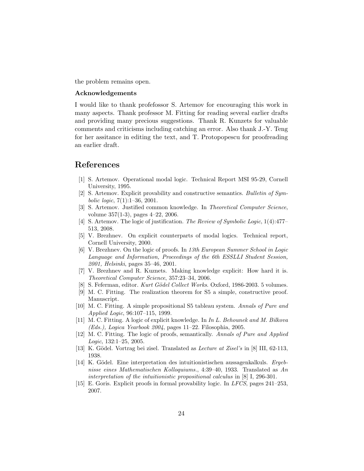the problem remains open.

### Acknowledgements

I would like to thank profefossor S. Artemov for encouraging this work in many aspects. Thank professor M. Fitting for reading several earlier drafts and providing many precious suggestions. Thank R. Kunzets for valuable comments and criticisms including catching an error. Also thank J.-Y. Teng for her assitance in editing the text, and T. Protopopescu for proofreading an earlier draft.

## References

- [1] S. Artemov. Operational modal logic. Technical Report MSI 95-29, Cornell University, 1995.
- [2] S. Artemov. Explicit provability and constructive semantics. *Bulletin of Symbolic logic*, 7(1):1–36, 2001.
- [3] S. Artemov. Justified common knowledge. In *Theoretical Computer Science*, volume 357(1-3), pages 4–22, 2006.
- [4] S. Artemov. The logic of justification. *The Review of Symbolic Logic*, 1(4):477– 513, 2008.
- [5] V. Brezhnev. On explicit counterparts of modal logics. Technical report, Cornell University, 2000.
- [6] V. Brezhnev. On the logic of proofs. In *13th European Summer School in Logic Language and Information, Proceedings of the 6th ESSLLI Student Session, 2001, Helsinki*, pages 35–46, 2001.
- [7] V. Brezhnev and R. Kuznets. Making knowledge explicit: How hard it is. *Theoretical Computer Science*, 357:23–34, 2006.
- [8] S. Feferman, editor. *Kurt G¨odel Collect Works*. Oxford, 1986-2003. 5 volumes.
- [9] M. C. Fitting. The realization theorem for S5 a simple, constructive proof. Manuscript.
- [10] M. C. Fitting. A simple propositional S5 tableau system. *Annals of Pure and Applied Logic*, 96:107–115, 1999.
- [11] M. C. Fitting. A logic of explicit knowledge. In *In L. Behounek and M. Bilkova (Eds.), Logica Yearbook 2004*, pages 11–22. Filosophia, 2005.
- [12] M. C. Fitting. The logic of proofs, semantically. *Annals of Pure and Applied Logic*, 132:1–25, 2005.
- [13] K. Gödel. Vortrag bei zisel. Translated as *Lecture at Zisel's* in [8] III, 62-113, 1938.
- [14] K. Gödel. Eine interpretation des intuitionistischen aussagenkalkuls. *Ergebnisse eines Mathematischen Kolloquiums.*, 4:39–40, 1933. Translated as *An interpretation of the intuitionistic propositional calculus* in [8] I, 296-301.
- [15] E. Goris. Explicit proofs in formal provability logic. In *LFCS*, pages 241–253, 2007.